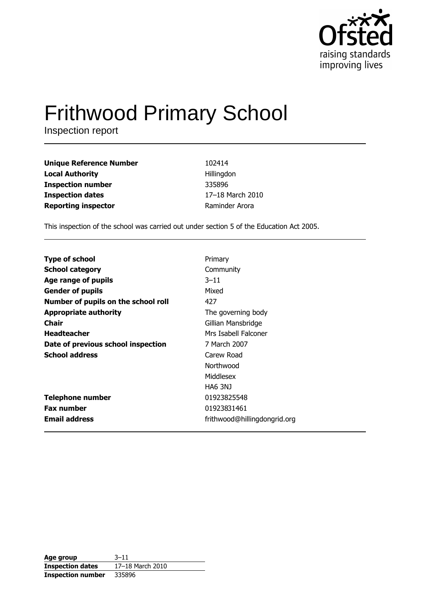

# **Frithwood Primary School**

Inspection report

| <b>Unique Reference Number</b> | 102414           |
|--------------------------------|------------------|
| <b>Local Authority</b>         | Hillingdon       |
| <b>Inspection number</b>       | 335896           |
| <b>Inspection dates</b>        | 17-18 March 2010 |
| <b>Reporting inspector</b>     | Raminder Arora   |

This inspection of the school was carried out under section 5 of the Education Act 2005.

| <b>Type of school</b>               | Primary                      |
|-------------------------------------|------------------------------|
| <b>School category</b>              | Community                    |
| Age range of pupils                 | $3 - 11$                     |
| <b>Gender of pupils</b>             | Mixed                        |
| Number of pupils on the school roll | 427                          |
| <b>Appropriate authority</b>        | The governing body           |
| Chair                               | Gillian Mansbridge           |
| <b>Headteacher</b>                  | Mrs Isabell Falconer         |
| Date of previous school inspection  | 7 March 2007                 |
| <b>School address</b>               | Carew Road                   |
|                                     | Northwood                    |
|                                     | Middlesex                    |
|                                     | <b>HA6 3NJ</b>               |
| <b>Telephone number</b>             | 01923825548                  |
| <b>Fax number</b>                   | 01923831461                  |
| <b>Email address</b>                | frithwood@hillingdongrid.org |

| Age group                | $3 - 11$         |
|--------------------------|------------------|
| <b>Inspection dates</b>  | 17-18 March 2010 |
| <b>Inspection number</b> | 335896           |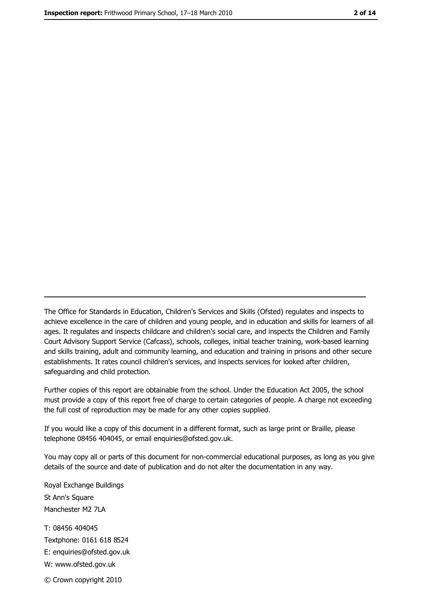The Office for Standards in Education, Children's Services and Skills (Ofsted) regulates and inspects to achieve excellence in the care of children and young people, and in education and skills for learners of all ages. It regulates and inspects childcare and children's social care, and inspects the Children and Family Court Advisory Support Service (Cafcass), schools, colleges, initial teacher training, work-based learning and skills training, adult and community learning, and education and training in prisons and other secure establishments. It rates council children's services, and inspects services for looked after children, safequarding and child protection.

Further copies of this report are obtainable from the school. Under the Education Act 2005, the school must provide a copy of this report free of charge to certain categories of people. A charge not exceeding the full cost of reproduction may be made for any other copies supplied.

If you would like a copy of this document in a different format, such as large print or Braille, please telephone 08456 404045, or email enquiries@ofsted.gov.uk.

You may copy all or parts of this document for non-commercial educational purposes, as long as you give details of the source and date of publication and do not alter the documentation in any way.

Royal Exchange Buildings St Ann's Square Manchester M2 7LA T: 08456 404045 Textphone: 0161 618 8524 E: enquiries@ofsted.gov.uk W: www.ofsted.gov.uk © Crown copyright 2010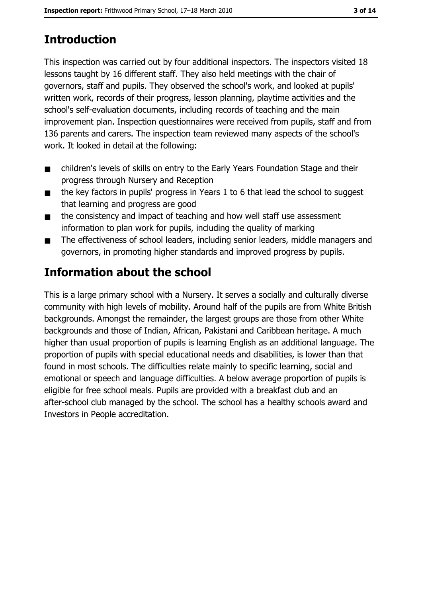# **Introduction**

This inspection was carried out by four additional inspectors. The inspectors visited 18 lessons taught by 16 different staff. They also held meetings with the chair of governors, staff and pupils. They observed the school's work, and looked at pupils' written work, records of their progress, lesson planning, playtime activities and the school's self-evaluation documents, including records of teaching and the main improvement plan. Inspection questionnaires were received from pupils, staff and from 136 parents and carers. The inspection team reviewed many aspects of the school's work. It looked in detail at the following:

- children's levels of skills on entry to the Early Years Foundation Stage and their  $\blacksquare$ progress through Nursery and Reception
- the key factors in pupils' progress in Years 1 to 6 that lead the school to suggest  $\blacksquare$ that learning and progress are good
- the consistency and impact of teaching and how well staff use assessment  $\blacksquare$ information to plan work for pupils, including the quality of marking
- The effectiveness of school leaders, including senior leaders, middle managers and  $\blacksquare$ governors, in promoting higher standards and improved progress by pupils.

# Information about the school

This is a large primary school with a Nursery. It serves a socially and culturally diverse community with high levels of mobility. Around half of the pupils are from White British backgrounds. Amongst the remainder, the largest groups are those from other White backgrounds and those of Indian, African, Pakistani and Caribbean heritage. A much higher than usual proportion of pupils is learning English as an additional language. The proportion of pupils with special educational needs and disabilities, is lower than that found in most schools. The difficulties relate mainly to specific learning, social and emotional or speech and language difficulties. A below average proportion of pupils is eligible for free school meals. Pupils are provided with a breakfast club and an after-school club managed by the school. The school has a healthy schools award and Investors in People accreditation.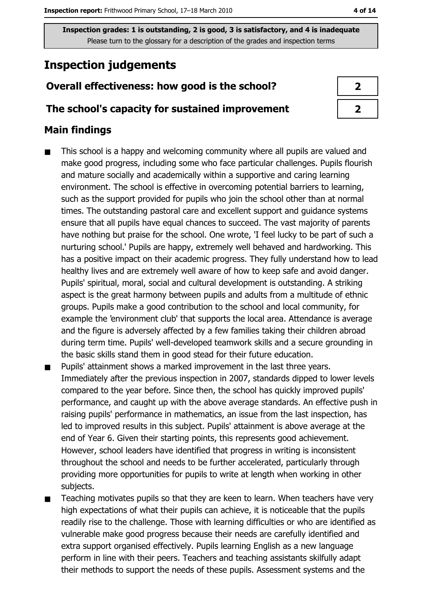# **Inspection judgements**

## Overall effectiveness: how good is the school?

#### The school's capacity for sustained improvement

### **Main findings**

- This school is a happy and welcoming community where all pupils are valued and  $\blacksquare$ make good progress, including some who face particular challenges. Pupils flourish and mature socially and academically within a supportive and caring learning environment. The school is effective in overcoming potential barriers to learning, such as the support provided for pupils who join the school other than at normal times. The outstanding pastoral care and excellent support and quidance systems ensure that all pupils have equal chances to succeed. The vast majority of parents have nothing but praise for the school. One wrote, 'I feel lucky to be part of such a nurturing school.' Pupils are happy, extremely well behaved and hardworking. This has a positive impact on their academic progress. They fully understand how to lead healthy lives and are extremely well aware of how to keep safe and avoid danger. Pupils' spiritual, moral, social and cultural development is outstanding. A striking aspect is the great harmony between pupils and adults from a multitude of ethnic groups. Pupils make a good contribution to the school and local community, for example the 'environment club' that supports the local area. Attendance is average and the figure is adversely affected by a few families taking their children abroad during term time. Pupils' well-developed teamwork skills and a secure grounding in the basic skills stand them in good stead for their future education.
- Pupils' attainment shows a marked improvement in the last three years.  $\blacksquare$ Immediately after the previous inspection in 2007, standards dipped to lower levels compared to the year before. Since then, the school has quickly improved pupils' performance, and caught up with the above average standards. An effective push in raising pupils' performance in mathematics, an issue from the last inspection, has led to improved results in this subject. Pupils' attainment is above average at the end of Year 6. Given their starting points, this represents good achievement. However, school leaders have identified that progress in writing is inconsistent throughout the school and needs to be further accelerated, particularly through providing more opportunities for pupils to write at length when working in other subjects.
- Teaching motivates pupils so that they are keen to learn. When teachers have very  $\blacksquare$ high expectations of what their pupils can achieve, it is noticeable that the pupils readily rise to the challenge. Those with learning difficulties or who are identified as vulnerable make good progress because their needs are carefully identified and extra support organised effectively. Pupils learning English as a new language perform in line with their peers. Teachers and teaching assistants skilfully adapt their methods to support the needs of these pupils. Assessment systems and the

| 2 |
|---|
| י |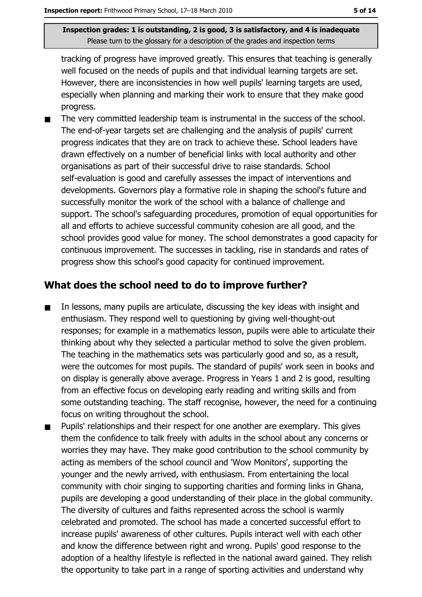tracking of progress have improved greatly. This ensures that teaching is generally well focused on the needs of pupils and that individual learning targets are set. However, there are inconsistencies in how well pupils' learning targets are used, especially when planning and marking their work to ensure that they make good progress.

The very committed leadership team is instrumental in the success of the school.  $\blacksquare$ The end-of-year targets set are challenging and the analysis of pupils' current progress indicates that they are on track to achieve these. School leaders have drawn effectively on a number of beneficial links with local authority and other organisations as part of their successful drive to raise standards. School self-evaluation is good and carefully assesses the impact of interventions and developments. Governors play a formative role in shaping the school's future and successfully monitor the work of the school with a balance of challenge and support. The school's safeguarding procedures, promotion of equal opportunities for all and efforts to achieve successful community cohesion are all good, and the school provides good value for money. The school demonstrates a good capacity for continuous improvement. The successes in tackling, rise in standards and rates of progress show this school's good capacity for continued improvement.

#### What does the school need to do to improve further?

- In lessons, many pupils are articulate, discussing the key ideas with insight and  $\blacksquare$ enthusiasm. They respond well to questioning by giving well-thought-out responses; for example in a mathematics lesson, pupils were able to articulate their thinking about why they selected a particular method to solve the given problem. The teaching in the mathematics sets was particularly good and so, as a result, were the outcomes for most pupils. The standard of pupils' work seen in books and on display is generally above average. Progress in Years 1 and 2 is good, resulting from an effective focus on developing early reading and writing skills and from some outstanding teaching. The staff recognise, however, the need for a continuing focus on writing throughout the school.
- Pupils' relationships and their respect for one another are exemplary. This gives . them the confidence to talk freely with adults in the school about any concerns or worries they may have. They make good contribution to the school community by acting as members of the school council and 'Wow Monitors', supporting the younger and the newly arrived, with enthusiasm. From entertaining the local community with choir singing to supporting charities and forming links in Ghana, pupils are developing a good understanding of their place in the global community. The diversity of cultures and faiths represented across the school is warmly celebrated and promoted. The school has made a concerted successful effort to increase pupils' awareness of other cultures. Pupils interact well with each other and know the difference between right and wrong. Pupils' good response to the adoption of a healthy lifestyle is reflected in the national award gained. They relish the opportunity to take part in a range of sporting activities and understand why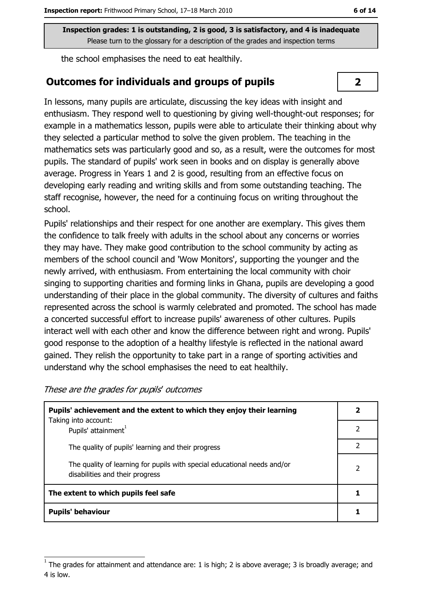the school emphasises the need to eat healthily.

#### **Outcomes for individuals and groups of pupils**

In lessons, many pupils are articulate, discussing the key ideas with insight and enthusiasm. They respond well to questioning by giving well-thought-out responses; for example in a mathematics lesson, pupils were able to articulate their thinking about why they selected a particular method to solve the given problem. The teaching in the mathematics sets was particularly good and so, as a result, were the outcomes for most pupils. The standard of pupils' work seen in books and on display is generally above average. Progress in Years 1 and 2 is good, resulting from an effective focus on developing early reading and writing skills and from some outstanding teaching. The staff recognise, however, the need for a continuing focus on writing throughout the school.

Pupils' relationships and their respect for one another are exemplary. This gives them the confidence to talk freely with adults in the school about any concerns or worries they may have. They make good contribution to the school community by acting as members of the school council and 'Wow Monitors', supporting the younger and the newly arrived, with enthusiasm. From entertaining the local community with choir singing to supporting charities and forming links in Ghana, pupils are developing a good understanding of their place in the global community. The diversity of cultures and faiths represented across the school is warmly celebrated and promoted. The school has made a concerted successful effort to increase pupils' awareness of other cultures. Pupils interact well with each other and know the difference between right and wrong. Pupils' good response to the adoption of a healthy lifestyle is reflected in the national award gained. They relish the opportunity to take part in a range of sporting activities and understand why the school emphasises the need to eat healthily.

| Pupils' achievement and the extent to which they enjoy their learning                                       |   |
|-------------------------------------------------------------------------------------------------------------|---|
| Taking into account:<br>Pupils' attainment <sup>1</sup>                                                     |   |
| The quality of pupils' learning and their progress                                                          | 2 |
| The quality of learning for pupils with special educational needs and/or<br>disabilities and their progress | 2 |
| The extent to which pupils feel safe                                                                        |   |
| <b>Pupils' behaviour</b>                                                                                    |   |

These are the grades for pupils' outcomes

 $\overline{\mathbf{2}}$ 

The grades for attainment and attendance are: 1 is high; 2 is above average; 3 is broadly average; and 4 is low.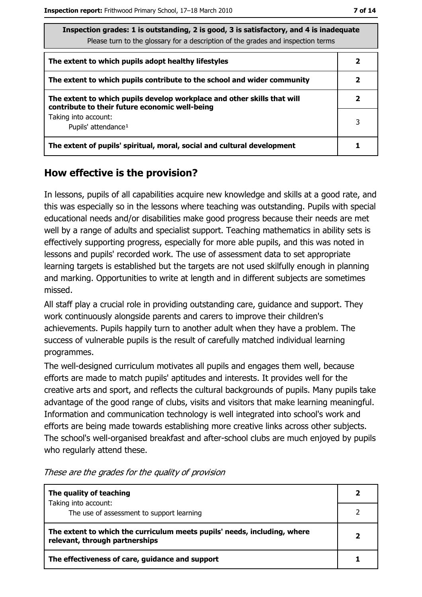| Inspection grades: 1 is outstanding, 2 is good, 3 is satisfactory, and 4 is inadequate<br>Please turn to the glossary for a description of the grades and inspection terms |   |
|----------------------------------------------------------------------------------------------------------------------------------------------------------------------------|---|
| The extent to which pupils adopt healthy lifestyles                                                                                                                        |   |
| The extent to which pupils contribute to the school and wider community                                                                                                    | 2 |
| The extent to which pupils develop workplace and other skills that will<br>contribute to their future economic well-being                                                  | 2 |
| Taking into account:<br>Pupils' attendance <sup>1</sup>                                                                                                                    | 3 |
| The extent of pupils' spiritual, moral, social and cultural development                                                                                                    |   |

# How effective is the provision?

In lessons, pupils of all capabilities acquire new knowledge and skills at a good rate, and this was especially so in the lessons where teaching was outstanding. Pupils with special educational needs and/or disabilities make good progress because their needs are met well by a range of adults and specialist support. Teaching mathematics in ability sets is effectively supporting progress, especially for more able pupils, and this was noted in lessons and pupils' recorded work. The use of assessment data to set appropriate learning targets is established but the targets are not used skilfully enough in planning and marking. Opportunities to write at length and in different subjects are sometimes missed.

All staff play a crucial role in providing outstanding care, guidance and support. They work continuously alongside parents and carers to improve their children's achievements. Pupils happily turn to another adult when they have a problem. The success of vulnerable pupils is the result of carefully matched individual learning programmes.

The well-designed curriculum motivates all pupils and engages them well, because efforts are made to match pupils' aptitudes and interests. It provides well for the creative arts and sport, and reflects the cultural backgrounds of pupils. Many pupils take advantage of the good range of clubs, visits and visitors that make learning meaningful. Information and communication technology is well integrated into school's work and efforts are being made towards establishing more creative links across other subjects. The school's well-organised breakfast and after-school clubs are much enjoyed by pupils who regularly attend these.

| The quality of teaching                                                                                    |   |
|------------------------------------------------------------------------------------------------------------|---|
| Taking into account:<br>The use of assessment to support learning                                          |   |
| The extent to which the curriculum meets pupils' needs, including, where<br>relevant, through partnerships | 2 |
| The effectiveness of care, guidance and support                                                            |   |

These are the grades for the quality of provision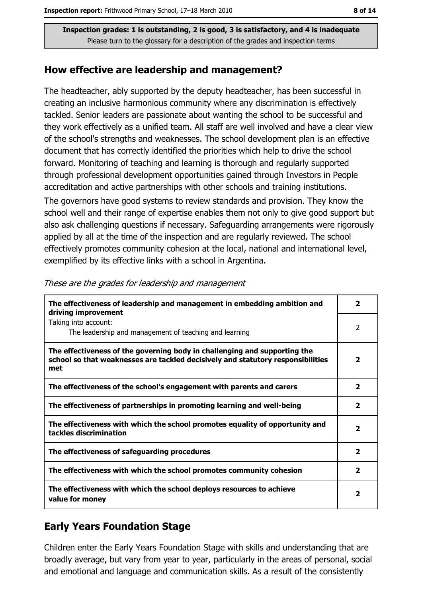#### How effective are leadership and management?

The headteacher, ably supported by the deputy headteacher, has been successful in creating an inclusive harmonious community where any discrimination is effectively tackled. Senior leaders are passionate about wanting the school to be successful and they work effectively as a unified team. All staff are well involved and have a clear view of the school's strengths and weaknesses. The school development plan is an effective document that has correctly identified the priorities which help to drive the school forward. Monitoring of teaching and learning is thorough and regularly supported through professional development opportunities gained through Investors in People accreditation and active partnerships with other schools and training institutions.

The governors have good systems to review standards and provision. They know the school well and their range of expertise enables them not only to give good support but also ask challenging questions if necessary. Safeguarding arrangements were rigorously applied by all at the time of the inspection and are regularly reviewed. The school effectively promotes community cohesion at the local, national and international level, exemplified by its effective links with a school in Argentina.

| The effectiveness of leadership and management in embedding ambition and<br>driving improvement                                                                     | $\overline{\mathbf{2}}$ |
|---------------------------------------------------------------------------------------------------------------------------------------------------------------------|-------------------------|
| Taking into account:<br>The leadership and management of teaching and learning                                                                                      | 2                       |
| The effectiveness of the governing body in challenging and supporting the<br>school so that weaknesses are tackled decisively and statutory responsibilities<br>met | $\overline{2}$          |
| The effectiveness of the school's engagement with parents and carers                                                                                                | $\overline{\mathbf{2}}$ |
| The effectiveness of partnerships in promoting learning and well-being                                                                                              | 2                       |
| The effectiveness with which the school promotes equality of opportunity and<br>tackles discrimination                                                              | $\overline{2}$          |
| The effectiveness of safeguarding procedures                                                                                                                        | $\overline{\mathbf{2}}$ |
| The effectiveness with which the school promotes community cohesion                                                                                                 | $\overline{2}$          |
| The effectiveness with which the school deploys resources to achieve<br>value for money                                                                             | 2                       |

#### These are the grades for leadership and management

# **Early Years Foundation Stage**

Children enter the Early Years Foundation Stage with skills and understanding that are broadly average, but vary from year to year, particularly in the areas of personal, social and emotional and language and communication skills. As a result of the consistently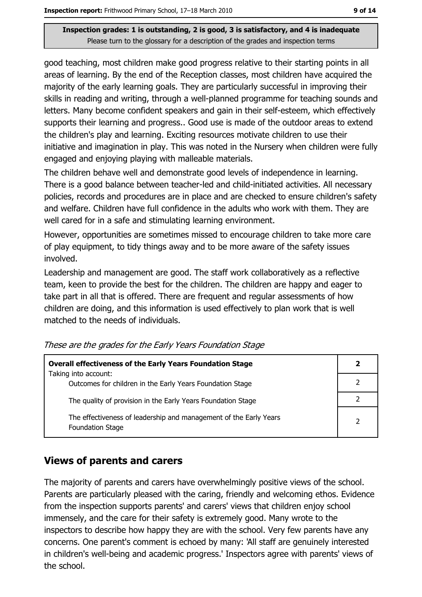good teaching, most children make good progress relative to their starting points in all areas of learning. By the end of the Reception classes, most children have acquired the majority of the early learning goals. They are particularly successful in improving their skills in reading and writing, through a well-planned programme for teaching sounds and letters. Many become confident speakers and gain in their self-esteem, which effectively supports their learning and progress.. Good use is made of the outdoor areas to extend the children's play and learning. Exciting resources motivate children to use their initiative and imagination in play. This was noted in the Nursery when children were fully engaged and enjoying playing with malleable materials.

The children behave well and demonstrate good levels of independence in learning. There is a good balance between teacher-led and child-initiated activities. All necessary policies, records and procedures are in place and are checked to ensure children's safety and welfare. Children have full confidence in the adults who work with them. They are well cared for in a safe and stimulating learning environment.

However, opportunities are sometimes missed to encourage children to take more care of play equipment, to tidy things away and to be more aware of the safety issues involved.

Leadership and management are good. The staff work collaboratively as a reflective team, keen to provide the best for the children. The children are happy and eager to take part in all that is offered. There are frequent and regular assessments of how children are doing, and this information is used effectively to plan work that is well matched to the needs of individuals.

| <b>Overall effectiveness of the Early Years Foundation Stage</b>                             | $\mathbf{2}$   |
|----------------------------------------------------------------------------------------------|----------------|
| Taking into account:<br>Outcomes for children in the Early Years Foundation Stage            |                |
| The quality of provision in the Early Years Foundation Stage                                 |                |
| The effectiveness of leadership and management of the Early Years<br><b>Foundation Stage</b> | $\overline{2}$ |

These are the grades for the Early Years Foundation Stage

# **Views of parents and carers**

The majority of parents and carers have overwhelmingly positive views of the school. Parents are particularly pleased with the caring, friendly and welcoming ethos. Evidence from the inspection supports parents' and carers' views that children enjoy school immensely, and the care for their safety is extremely good. Many wrote to the inspectors to describe how happy they are with the school. Very few parents have any concerns. One parent's comment is echoed by many: 'All staff are genuinely interested in children's well-being and academic progress.' Inspectors agree with parents' views of the school.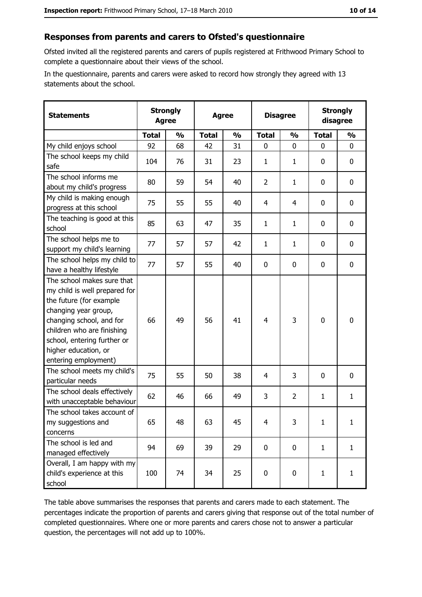# Responses from parents and carers to Ofsted's questionnaire

Ofsted invited all the registered parents and carers of pupils registered at Frithwood Primary School to complete a questionnaire about their views of the school.

In the questionnaire, parents and carers were asked to record how strongly they agreed with 13 statements about the school.

| <b>Statements</b>                                                                                                                                                                                                                                       | <b>Strongly</b><br><b>Agree</b> |               |              | <b>Agree</b>  |                | <b>Disagree</b> |              | <b>Strongly</b><br>disagree |
|---------------------------------------------------------------------------------------------------------------------------------------------------------------------------------------------------------------------------------------------------------|---------------------------------|---------------|--------------|---------------|----------------|-----------------|--------------|-----------------------------|
|                                                                                                                                                                                                                                                         | <b>Total</b>                    | $\frac{1}{2}$ | <b>Total</b> | $\frac{0}{0}$ | <b>Total</b>   | $\frac{1}{2}$   | <b>Total</b> | $\frac{1}{2}$               |
| My child enjoys school                                                                                                                                                                                                                                  | 92                              | 68            | 42           | 31            | $\mathbf 0$    | 0               | 0            | $\mathbf 0$                 |
| The school keeps my child<br>safe                                                                                                                                                                                                                       | 104                             | 76            | 31           | 23            | 1              | 1               | 0            | $\mathbf 0$                 |
| The school informs me<br>about my child's progress                                                                                                                                                                                                      | 80                              | 59            | 54           | 40            | $\overline{2}$ | $\mathbf{1}$    | 0            | 0                           |
| My child is making enough<br>progress at this school                                                                                                                                                                                                    | 75                              | 55            | 55           | 40            | $\overline{4}$ | 4               | 0            | 0                           |
| The teaching is good at this<br>school                                                                                                                                                                                                                  | 85                              | 63            | 47           | 35            | $\mathbf{1}$   | 1               | 0            | $\mathbf 0$                 |
| The school helps me to<br>support my child's learning                                                                                                                                                                                                   | 77                              | 57            | 57           | 42            | $\mathbf{1}$   | $\mathbf{1}$    | 0            | 0                           |
| The school helps my child to<br>have a healthy lifestyle                                                                                                                                                                                                | 77                              | 57            | 55           | 40            | $\mathbf 0$    | 0               | $\mathbf 0$  | $\mathbf 0$                 |
| The school makes sure that<br>my child is well prepared for<br>the future (for example<br>changing year group,<br>changing school, and for<br>children who are finishing<br>school, entering further or<br>higher education, or<br>entering employment) | 66                              | 49            | 56           | 41            | $\overline{4}$ | 3               | $\mathbf 0$  | $\mathbf 0$                 |
| The school meets my child's<br>particular needs                                                                                                                                                                                                         | 75                              | 55            | 50           | 38            | 4              | 3               | $\Omega$     | $\mathbf 0$                 |
| The school deals effectively<br>with unacceptable behaviour                                                                                                                                                                                             | 62                              | 46            | 66           | 49            | 3              | $\overline{2}$  | $\mathbf{1}$ | $\mathbf{1}$                |
| The school takes account of<br>my suggestions and<br>concerns                                                                                                                                                                                           | 65                              | 48            | 63           | 45            | $\overline{4}$ | 3               | $\mathbf{1}$ | $\mathbf{1}$                |
| The school is led and<br>managed effectively                                                                                                                                                                                                            | 94                              | 69            | 39           | 29            | $\mathbf 0$    | $\mathbf 0$     | $\mathbf{1}$ | $\mathbf{1}$                |
| Overall, I am happy with my<br>child's experience at this<br>school                                                                                                                                                                                     | 100                             | 74            | 34           | 25            | $\mathbf 0$    | 0               | $\mathbf{1}$ | $\mathbf{1}$                |

The table above summarises the responses that parents and carers made to each statement. The percentages indicate the proportion of parents and carers giving that response out of the total number of completed questionnaires. Where one or more parents and carers chose not to answer a particular question, the percentages will not add up to 100%.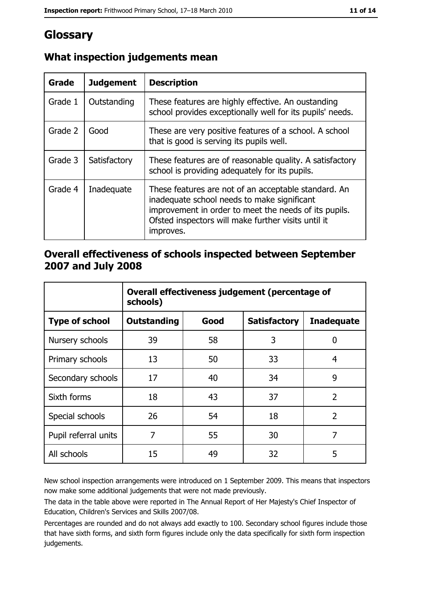# Glossary

| Grade   | <b>Judgement</b> | <b>Description</b>                                                                                                                                                                                                               |
|---------|------------------|----------------------------------------------------------------------------------------------------------------------------------------------------------------------------------------------------------------------------------|
| Grade 1 | Outstanding      | These features are highly effective. An oustanding<br>school provides exceptionally well for its pupils' needs.                                                                                                                  |
| Grade 2 | Good             | These are very positive features of a school. A school<br>that is good is serving its pupils well.                                                                                                                               |
| Grade 3 | Satisfactory     | These features are of reasonable quality. A satisfactory<br>school is providing adequately for its pupils.                                                                                                                       |
| Grade 4 | Inadequate       | These features are not of an acceptable standard. An<br>inadequate school needs to make significant<br>improvement in order to meet the needs of its pupils.<br>Ofsted inspectors will make further visits until it<br>improves. |

# What inspection judgements mean

## Overall effectiveness of schools inspected between September 2007 and July 2008

|                       | Overall effectiveness judgement (percentage of<br>schools) |      |                     |                   |  |
|-----------------------|------------------------------------------------------------|------|---------------------|-------------------|--|
| <b>Type of school</b> | Outstanding                                                | Good | <b>Satisfactory</b> | <b>Inadequate</b> |  |
| Nursery schools       | 39                                                         | 58   | 3                   | 0                 |  |
| Primary schools       | 13                                                         | 50   | 33                  | 4                 |  |
| Secondary schools     | 17                                                         | 40   | 34                  | 9                 |  |
| Sixth forms           | 18                                                         | 43   | 37                  | $\overline{2}$    |  |
| Special schools       | 26                                                         | 54   | 18                  | $\overline{2}$    |  |
| Pupil referral units  | 7                                                          | 55   | 30                  | 7                 |  |
| All schools           | 15                                                         | 49   | 32                  | 5                 |  |

New school inspection arrangements were introduced on 1 September 2009. This means that inspectors now make some additional judgements that were not made previously.

The data in the table above were reported in The Annual Report of Her Majesty's Chief Inspector of Education, Children's Services and Skills 2007/08.

Percentages are rounded and do not always add exactly to 100. Secondary school figures include those that have sixth forms, and sixth form figures include only the data specifically for sixth form inspection judgements.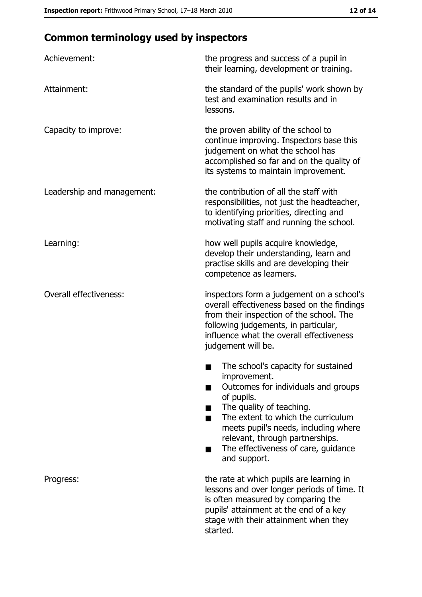# **Common terminology used by inspectors**

| Achievement:                  | the progress and success of a pupil in<br>their learning, development or training.                                                                                                                                                                                                                           |
|-------------------------------|--------------------------------------------------------------------------------------------------------------------------------------------------------------------------------------------------------------------------------------------------------------------------------------------------------------|
| Attainment:                   | the standard of the pupils' work shown by<br>test and examination results and in<br>lessons.                                                                                                                                                                                                                 |
| Capacity to improve:          | the proven ability of the school to<br>continue improving. Inspectors base this<br>judgement on what the school has<br>accomplished so far and on the quality of<br>its systems to maintain improvement.                                                                                                     |
| Leadership and management:    | the contribution of all the staff with<br>responsibilities, not just the headteacher,<br>to identifying priorities, directing and<br>motivating staff and running the school.                                                                                                                                |
| Learning:                     | how well pupils acquire knowledge,<br>develop their understanding, learn and<br>practise skills and are developing their<br>competence as learners.                                                                                                                                                          |
| <b>Overall effectiveness:</b> | inspectors form a judgement on a school's<br>overall effectiveness based on the findings<br>from their inspection of the school. The<br>following judgements, in particular,<br>influence what the overall effectiveness<br>judgement will be.                                                               |
|                               | The school's capacity for sustained<br>improvement.<br>Outcomes for individuals and groups<br>of pupils.<br>The quality of teaching.<br>The extent to which the curriculum<br>meets pupil's needs, including where<br>relevant, through partnerships.<br>The effectiveness of care, guidance<br>and support. |
| Progress:                     | the rate at which pupils are learning in<br>lessons and over longer periods of time. It<br>is often measured by comparing the<br>pupils' attainment at the end of a key<br>stage with their attainment when they<br>started.                                                                                 |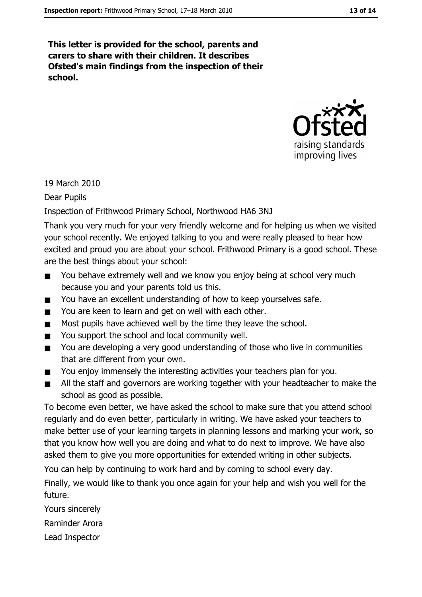This letter is provided for the school, parents and carers to share with their children. It describes Ofsted's main findings from the inspection of their school.



19 March 2010

**Dear Pupils** 

#### Inspection of Frithwood Primary School, Northwood HA6 3NJ

Thank you very much for your very friendly welcome and for helping us when we visited your school recently. We enjoyed talking to you and were really pleased to hear how excited and proud you are about your school. Frithwood Primary is a good school. These are the best things about your school:

- You behave extremely well and we know you enjoy being at school very much  $\blacksquare$ because you and your parents told us this.
- You have an excellent understanding of how to keep yourselves safe.  $\blacksquare$
- You are keen to learn and get on well with each other.
- Most pupils have achieved well by the time they leave the school.  $\blacksquare$
- You support the school and local community well.  $\blacksquare$
- You are developing a very good understanding of those who live in communities  $\blacksquare$ that are different from your own.
- You enjoy immensely the interesting activities your teachers plan for you.  $\blacksquare$
- All the staff and governors are working together with your headteacher to make the  $\blacksquare$ school as good as possible.

To become even better, we have asked the school to make sure that you attend school regularly and do even better, particularly in writing. We have asked your teachers to make better use of your learning targets in planning lessons and marking your work, so that you know how well you are doing and what to do next to improve. We have also asked them to give you more opportunities for extended writing in other subjects.

You can help by continuing to work hard and by coming to school every day.

Finally, we would like to thank you once again for your help and wish you well for the future.

Yours sincerely

Raminder Arora

Lead Inspector